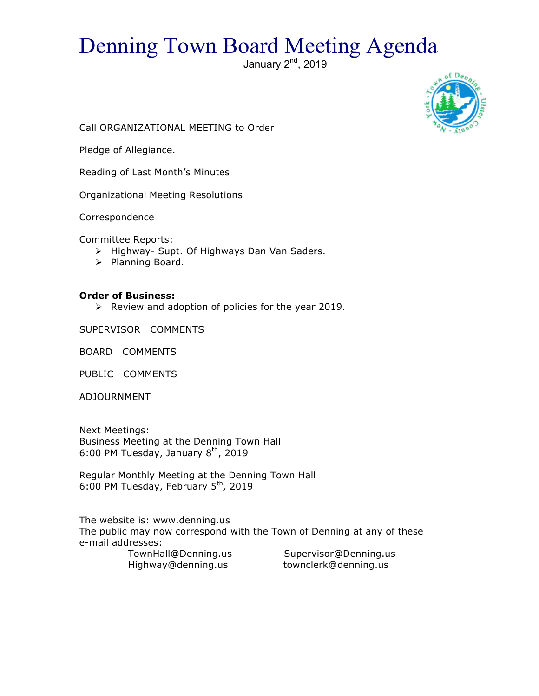# Denning Town Board Meeting Agenda

January  $2<sup>nd</sup>$ , 2019



Call ORGANIZATIONAL MEETING to Order

Pledge of Allegiance.

Reading of Last Month's Minutes

Organizational Meeting Resolutions

Correspondence

Committee Reports:

- > Highway- Supt. Of Highways Dan Van Saders.
- > Planning Board.

#### **Order of Business:**

 $\triangleright$  Review and adoption of policies for the year 2019.

SUPERVISOR COMMENTS

BOARD COMMENTS

PUBLIC COMMENTS

ADJOURNMENT

Next Meetings: Business Meeting at the Denning Town Hall 6:00 PM Tuesday, January  $8<sup>th</sup>$ , 2019

Regular Monthly Meeting at the Denning Town Hall 6:00 PM Tuesday, February  $5<sup>th</sup>$ , 2019

The website is: www.denning.us The public may now correspond with the Town of Denning at any of these e-mail addresses:

 TownHall@Denning.us Supervisor@Denning.us Highway@denning.us townclerk@denning.us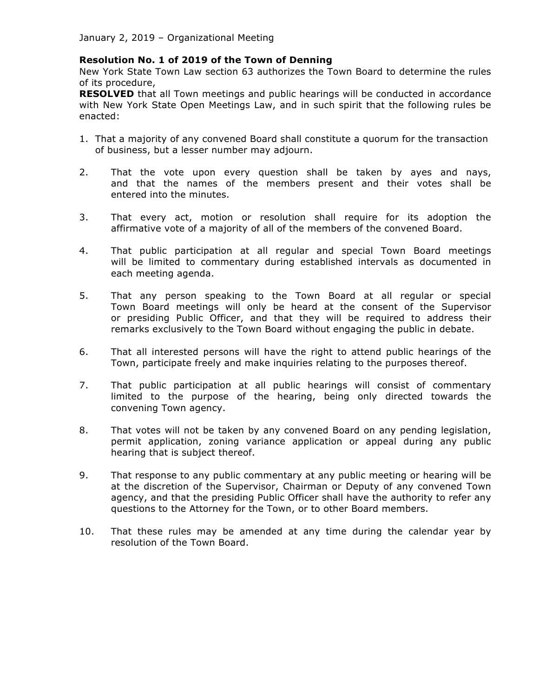# **Resolution No. 1 of 2019 of the Town of Denning**

New York State Town Law section 63 authorizes the Town Board to determine the rules of its procedure,

**RESOLVED** that all Town meetings and public hearings will be conducted in accordance with New York State Open Meetings Law, and in such spirit that the following rules be enacted:

- 1. That a majority of any convened Board shall constitute a quorum for the transaction of business, but a lesser number may adjourn.
- 2. That the vote upon every question shall be taken by ayes and nays, and that the names of the members present and their votes shall be entered into the minutes.
- 3. That every act, motion or resolution shall require for its adoption the affirmative vote of a majority of all of the members of the convened Board.
- 4. That public participation at all regular and special Town Board meetings will be limited to commentary during established intervals as documented in each meeting agenda.
- 5. That any person speaking to the Town Board at all regular or special Town Board meetings will only be heard at the consent of the Supervisor or presiding Public Officer, and that they will be required to address their remarks exclusively to the Town Board without engaging the public in debate.
- 6. That all interested persons will have the right to attend public hearings of the Town, participate freely and make inquiries relating to the purposes thereof.
- 7. That public participation at all public hearings will consist of commentary limited to the purpose of the hearing, being only directed towards the convening Town agency.
- 8. That votes will not be taken by any convened Board on any pending legislation, permit application, zoning variance application or appeal during any public hearing that is subject thereof.
- 9. That response to any public commentary at any public meeting or hearing will be at the discretion of the Supervisor, Chairman or Deputy of any convened Town agency, and that the presiding Public Officer shall have the authority to refer any questions to the Attorney for the Town, or to other Board members.
- 10. That these rules may be amended at any time during the calendar year by resolution of the Town Board.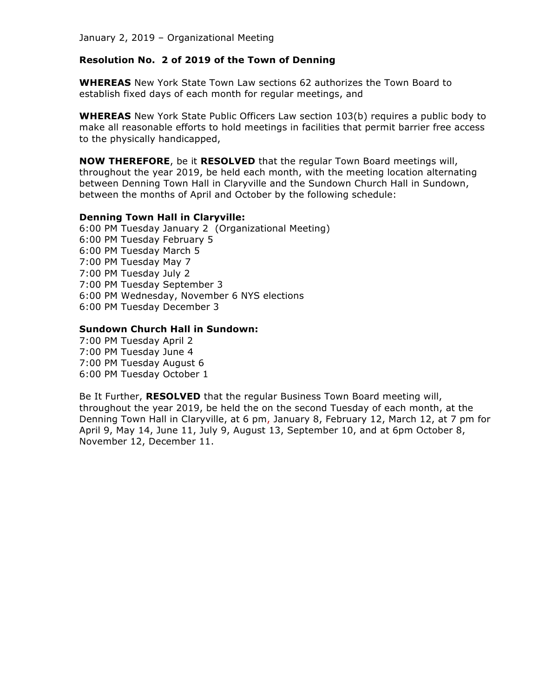#### **Resolution No. 2 of 2019 of the Town of Denning**

**WHEREAS** New York State Town Law sections 62 authorizes the Town Board to establish fixed days of each month for regular meetings, and

**WHEREAS** New York State Public Officers Law section 103(b) requires a public body to make all reasonable efforts to hold meetings in facilities that permit barrier free access to the physically handicapped,

**NOW THEREFORE**, be it **RESOLVED** that the regular Town Board meetings will, throughout the year 2019, be held each month, with the meeting location alternating between Denning Town Hall in Claryville and the Sundown Church Hall in Sundown, between the months of April and October by the following schedule:

#### **Denning Town Hall in Claryville:**

6:00 PM Tuesday January 2 (Organizational Meeting) 6:00 PM Tuesday February 5 6:00 PM Tuesday March 5 7:00 PM Tuesday May 7 7:00 PM Tuesday July 2 7:00 PM Tuesday September 3 6:00 PM Wednesday, November 6 NYS elections 6:00 PM Tuesday December 3

#### **Sundown Church Hall in Sundown:**

7:00 PM Tuesday April 2 7:00 PM Tuesday June 4 7:00 PM Tuesday August 6 6:00 PM Tuesday October 1

Be It Further, **RESOLVED** that the regular Business Town Board meeting will, throughout the year 2019, be held the on the second Tuesday of each month, at the Denning Town Hall in Claryville, at 6 pm, January 8, February 12, March 12, at 7 pm for April 9, May 14, June 11, July 9, August 13, September 10, and at 6pm October 8, November 12, December 11.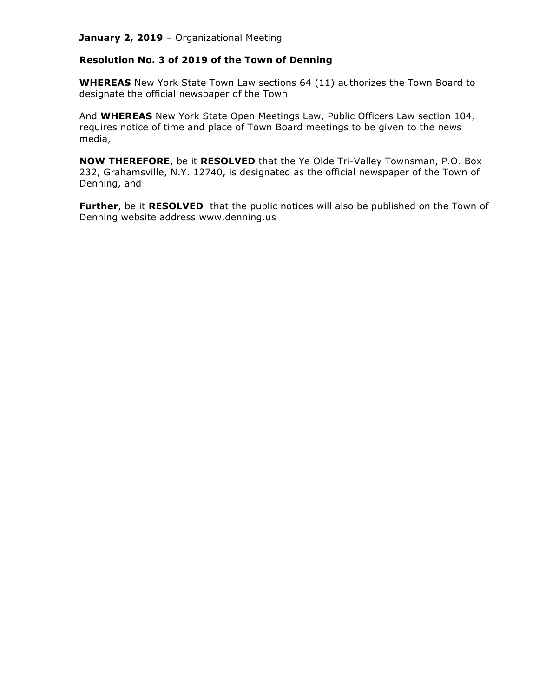# **Resolution No. 3 of 2019 of the Town of Denning**

**WHEREAS** New York State Town Law sections 64 (11) authorizes the Town Board to designate the official newspaper of the Town

And **WHEREAS** New York State Open Meetings Law, Public Officers Law section 104, requires notice of time and place of Town Board meetings to be given to the news media,

**NOW THEREFORE**, be it **RESOLVED** that the Ye Olde Tri-Valley Townsman, P.O. Box 232, Grahamsville, N.Y. 12740, is designated as the official newspaper of the Town of Denning, and

**Further**, be it **RESOLVED** that the public notices will also be published on the Town of Denning website address www.denning.us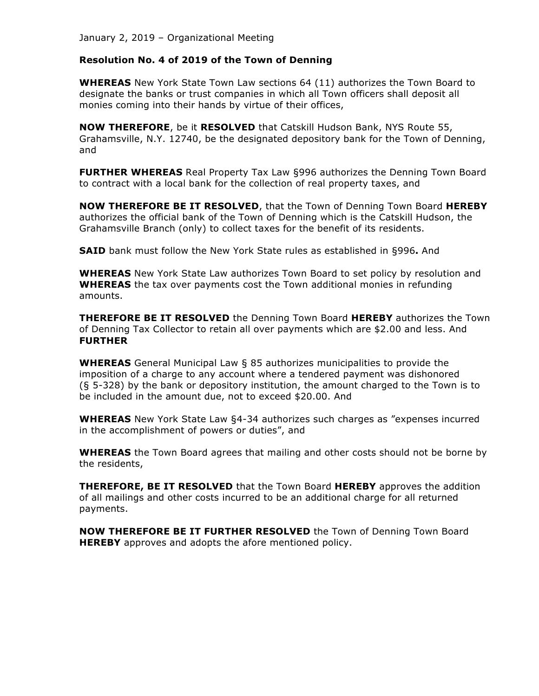#### **Resolution No. 4 of 2019 of the Town of Denning**

**WHEREAS** New York State Town Law sections 64 (11) authorizes the Town Board to designate the banks or trust companies in which all Town officers shall deposit all monies coming into their hands by virtue of their offices,

**NOW THEREFORE**, be it **RESOLVED** that Catskill Hudson Bank, NYS Route 55, Grahamsville, N.Y. 12740, be the designated depository bank for the Town of Denning, and

**FURTHER WHEREAS** Real Property Tax Law §996 authorizes the Denning Town Board to contract with a local bank for the collection of real property taxes, and

**NOW THEREFORE BE IT RESOLVED**, that the Town of Denning Town Board **HEREBY** authorizes the official bank of the Town of Denning which is the Catskill Hudson, the Grahamsville Branch (only) to collect taxes for the benefit of its residents.

**SAID** bank must follow the New York State rules as established in §996**.** And

**WHEREAS** New York State Law authorizes Town Board to set policy by resolution and **WHEREAS** the tax over payments cost the Town additional monies in refunding amounts.

**THEREFORE BE IT RESOLVED** the Denning Town Board **HEREBY** authorizes the Town of Denning Tax Collector to retain all over payments which are \$2.00 and less. And **FURTHER**

**WHEREAS** General Municipal Law § 85 authorizes municipalities to provide the imposition of a charge to any account where a tendered payment was dishonored (§ 5-328) by the bank or depository institution, the amount charged to the Town is to be included in the amount due, not to exceed \$20.00. And

**WHEREAS** New York State Law §4-34 authorizes such charges as "expenses incurred in the accomplishment of powers or duties", and

**WHEREAS** the Town Board agrees that mailing and other costs should not be borne by the residents,

**THEREFORE, BE IT RESOLVED** that the Town Board **HEREBY** approves the addition of all mailings and other costs incurred to be an additional charge for all returned payments.

**NOW THEREFORE BE IT FURTHER RESOLVED** the Town of Denning Town Board **HEREBY** approves and adopts the afore mentioned policy.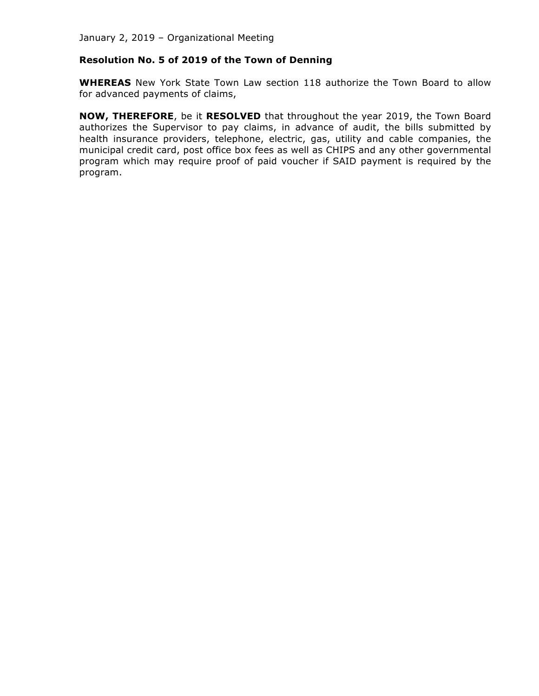# **Resolution No. 5 of 2019 of the Town of Denning**

**WHEREAS** New York State Town Law section 118 authorize the Town Board to allow for advanced payments of claims,

**NOW, THEREFORE**, be it **RESOLVED** that throughout the year 2019, the Town Board authorizes the Supervisor to pay claims, in advance of audit, the bills submitted by health insurance providers, telephone, electric, gas, utility and cable companies, the municipal credit card, post office box fees as well as CHIPS and any other governmental program which may require proof of paid voucher if SAID payment is required by the program.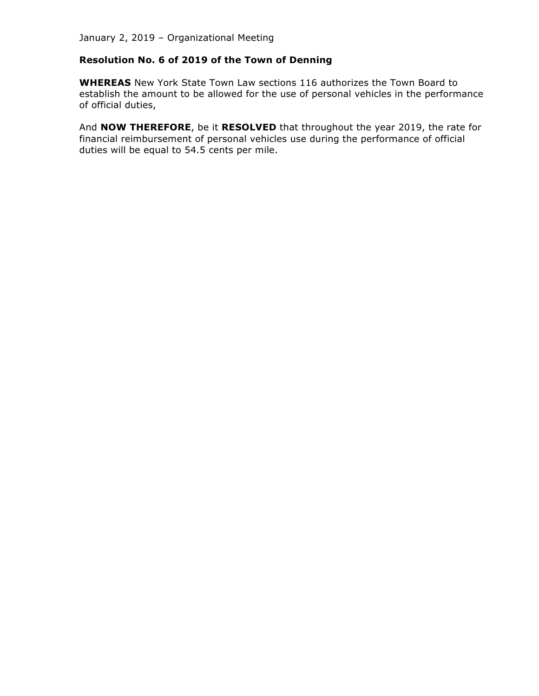# **Resolution No. 6 of 2019 of the Town of Denning**

**WHEREAS** New York State Town Law sections 116 authorizes the Town Board to establish the amount to be allowed for the use of personal vehicles in the performance of official duties,

And **NOW THEREFORE**, be it **RESOLVED** that throughout the year 2019, the rate for financial reimbursement of personal vehicles use during the performance of official duties will be equal to 54.5 cents per mile.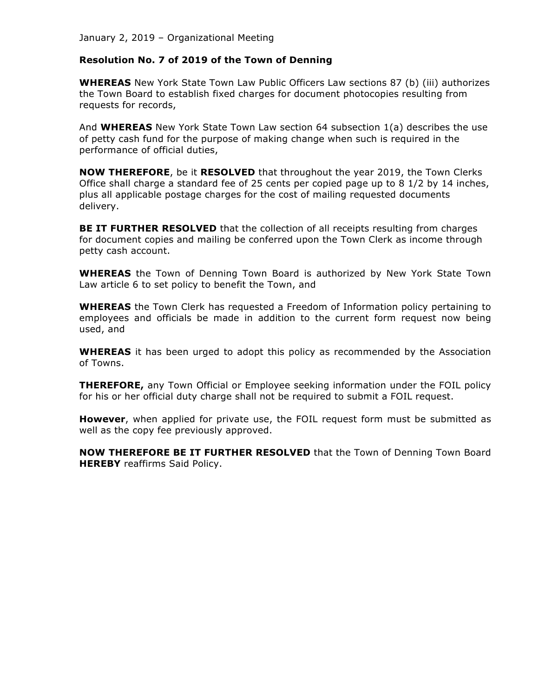# **Resolution No. 7 of 2019 of the Town of Denning**

**WHEREAS** New York State Town Law Public Officers Law sections 87 (b) (iii) authorizes the Town Board to establish fixed charges for document photocopies resulting from requests for records,

And **WHEREAS** New York State Town Law section 64 subsection 1(a) describes the use of petty cash fund for the purpose of making change when such is required in the performance of official duties,

**NOW THEREFORE**, be it **RESOLVED** that throughout the year 2019, the Town Clerks Office shall charge a standard fee of 25 cents per copied page up to 8 1/2 by 14 inches, plus all applicable postage charges for the cost of mailing requested documents delivery.

**BE IT FURTHER RESOLVED** that the collection of all receipts resulting from charges for document copies and mailing be conferred upon the Town Clerk as income through petty cash account.

**WHEREAS** the Town of Denning Town Board is authorized by New York State Town Law article 6 to set policy to benefit the Town, and

**WHEREAS** the Town Clerk has requested a Freedom of Information policy pertaining to employees and officials be made in addition to the current form request now being used, and

**WHEREAS** it has been urged to adopt this policy as recommended by the Association of Towns.

**THEREFORE,** any Town Official or Employee seeking information under the FOIL policy for his or her official duty charge shall not be required to submit a FOIL request.

**However**, when applied for private use, the FOIL request form must be submitted as well as the copy fee previously approved.

**NOW THEREFORE BE IT FURTHER RESOLVED** that the Town of Denning Town Board **HEREBY** reaffirms Said Policy.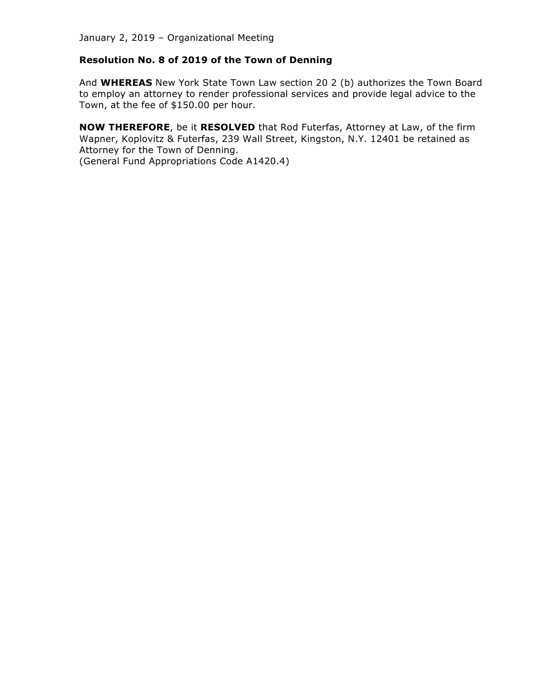# **Resolution No. 8 of 2019 of the Town of Denning**

And **WHEREAS** New York State Town Law section 20 2 (b) authorizes the Town Board to employ an attorney to render professional services and provide legal advice to the Town, at the fee of \$150.00 per hour.

**NOW THEREFORE**, be it **RESOLVED** that Rod Futerfas, Attorney at Law, of the firm Wapner, Koplovitz & Futerfas, 239 Wall Street, Kingston, N.Y. 12401 be retained as Attorney for the Town of Denning.

(General Fund Appropriations Code A1420.4)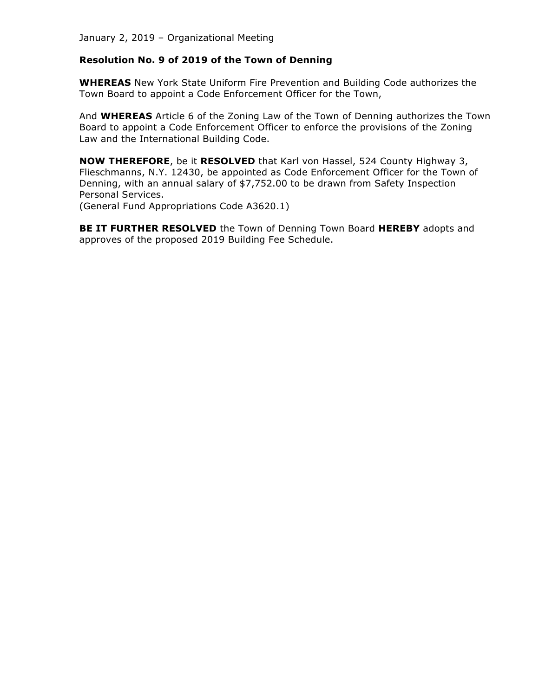# **Resolution No. 9 of 2019 of the Town of Denning**

**WHEREAS** New York State Uniform Fire Prevention and Building Code authorizes the Town Board to appoint a Code Enforcement Officer for the Town,

And **WHEREAS** Article 6 of the Zoning Law of the Town of Denning authorizes the Town Board to appoint a Code Enforcement Officer to enforce the provisions of the Zoning Law and the International Building Code.

**NOW THEREFORE**, be it **RESOLVED** that Karl von Hassel, 524 County Highway 3, Flieschmanns, N.Y. 12430, be appointed as Code Enforcement Officer for the Town of Denning, with an annual salary of \$7,752.00 to be drawn from Safety Inspection Personal Services.

(General Fund Appropriations Code A3620.1)

**BE IT FURTHER RESOLVED** the Town of Denning Town Board **HEREBY** adopts and approves of the proposed 2019 Building Fee Schedule.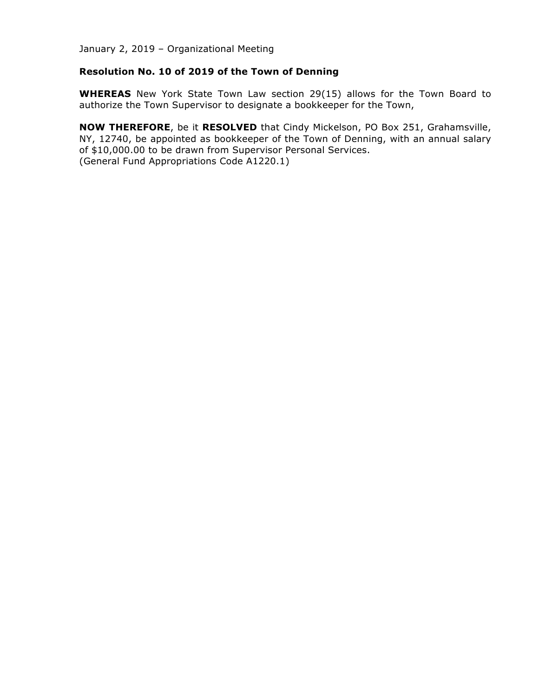# **Resolution No. 10 of 2019 of the Town of Denning**

**WHEREAS** New York State Town Law section 29(15) allows for the Town Board to authorize the Town Supervisor to designate a bookkeeper for the Town,

**NOW THEREFORE**, be it **RESOLVED** that Cindy Mickelson, PO Box 251, Grahamsville, NY, 12740, be appointed as bookkeeper of the Town of Denning, with an annual salary of \$10,000.00 to be drawn from Supervisor Personal Services. (General Fund Appropriations Code A1220.1)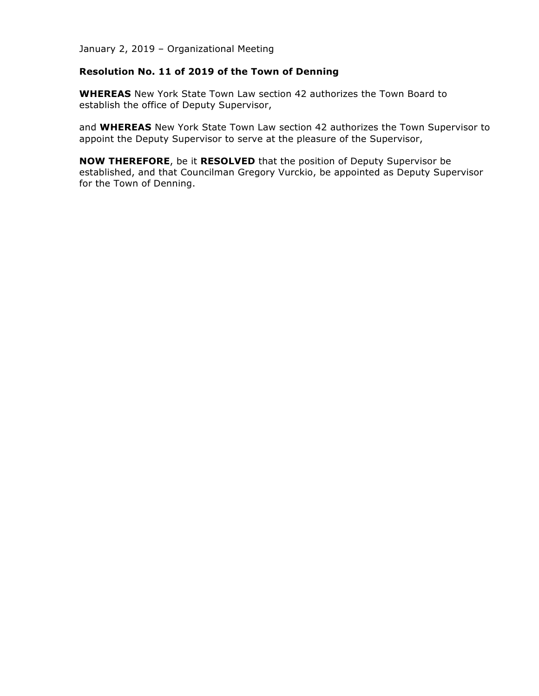# **Resolution No. 11 of 2019 of the Town of Denning**

**WHEREAS** New York State Town Law section 42 authorizes the Town Board to establish the office of Deputy Supervisor,

and **WHEREAS** New York State Town Law section 42 authorizes the Town Supervisor to appoint the Deputy Supervisor to serve at the pleasure of the Supervisor,

**NOW THEREFORE**, be it **RESOLVED** that the position of Deputy Supervisor be established, and that Councilman Gregory Vurckio, be appointed as Deputy Supervisor for the Town of Denning.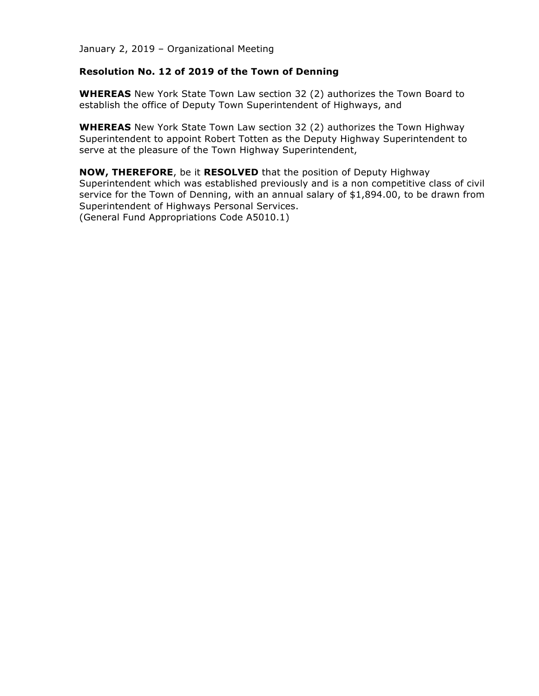#### **Resolution No. 12 of 2019 of the Town of Denning**

**WHEREAS** New York State Town Law section 32 (2) authorizes the Town Board to establish the office of Deputy Town Superintendent of Highways, and

**WHEREAS** New York State Town Law section 32 (2) authorizes the Town Highway Superintendent to appoint Robert Totten as the Deputy Highway Superintendent to serve at the pleasure of the Town Highway Superintendent,

**NOW, THEREFORE**, be it **RESOLVED** that the position of Deputy Highway Superintendent which was established previously and is a non competitive class of civil service for the Town of Denning, with an annual salary of \$1,894.00, to be drawn from Superintendent of Highways Personal Services. (General Fund Appropriations Code A5010.1)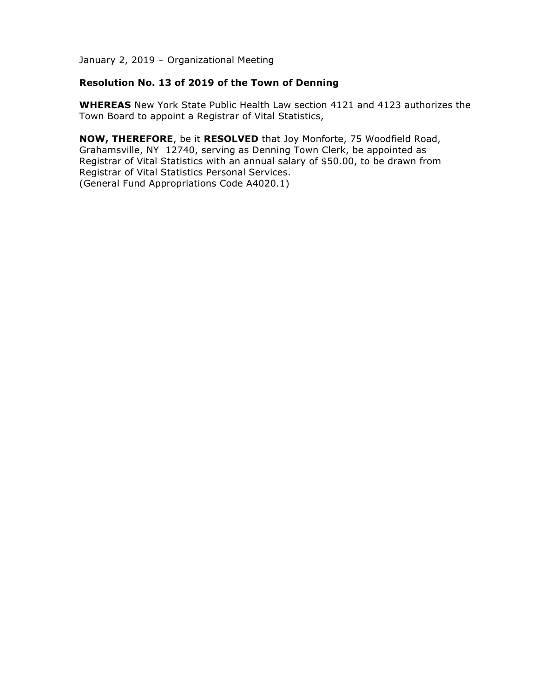# **Resolution No. 13 of 2019 of the Town of Denning**

**WHEREAS** New York State Public Health Law section 4121 and 4123 authorizes the Town Board to appoint a Registrar of Vital Statistics,

**NOW, THEREFORE**, be it **RESOLVED** that Joy Monforte, 75 Woodfield Road, Grahamsville, NY 12740, serving as Denning Town Clerk, be appointed as Registrar of Vital Statistics with an annual salary of \$50.00, to be drawn from Registrar of Vital Statistics Personal Services. (General Fund Appropriations Code A4020.1)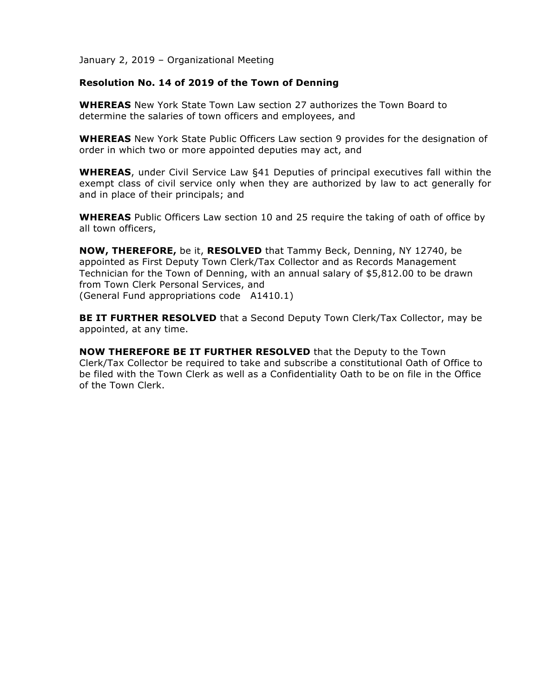# **Resolution No. 14 of 2019 of the Town of Denning**

**WHEREAS** New York State Town Law section 27 authorizes the Town Board to determine the salaries of town officers and employees, and

**WHEREAS** New York State Public Officers Law section 9 provides for the designation of order in which two or more appointed deputies may act, and

**WHEREAS**, under Civil Service Law §41 Deputies of principal executives fall within the exempt class of civil service only when they are authorized by law to act generally for and in place of their principals; and

**WHEREAS** Public Officers Law section 10 and 25 require the taking of oath of office by all town officers,

**NOW, THEREFORE,** be it, **RESOLVED** that Tammy Beck, Denning, NY 12740, be appointed as First Deputy Town Clerk/Tax Collector and as Records Management Technician for the Town of Denning, with an annual salary of \$5,812.00 to be drawn from Town Clerk Personal Services, and (General Fund appropriations code A1410.1)

**BE IT FURTHER RESOLVED** that a Second Deputy Town Clerk/Tax Collector, may be appointed, at any time.

**NOW THEREFORE BE IT FURTHER RESOLVED** that the Deputy to the Town Clerk/Tax Collector be required to take and subscribe a constitutional Oath of Office to be filed with the Town Clerk as well as a Confidentiality Oath to be on file in the Office of the Town Clerk.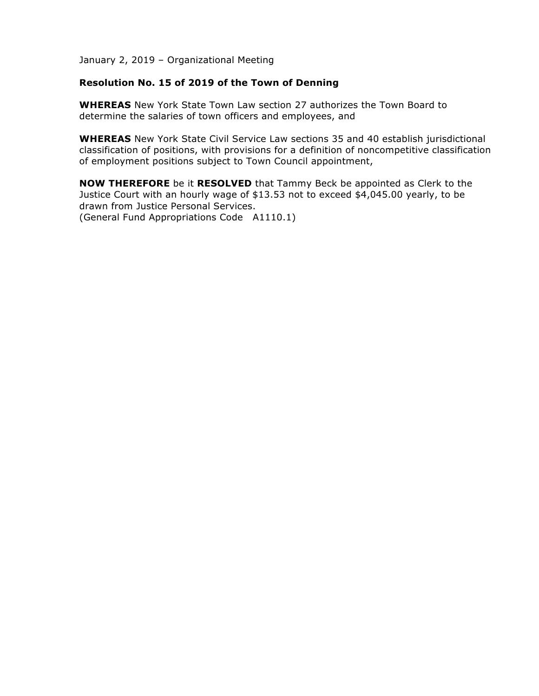# **Resolution No. 15 of 2019 of the Town of Denning**

**WHEREAS** New York State Town Law section 27 authorizes the Town Board to determine the salaries of town officers and employees, and

**WHEREAS** New York State Civil Service Law sections 35 and 40 establish jurisdictional classification of positions, with provisions for a definition of noncompetitive classification of employment positions subject to Town Council appointment,

**NOW THEREFORE** be it **RESOLVED** that Tammy Beck be appointed as Clerk to the Justice Court with an hourly wage of \$13.53 not to exceed \$4,045.00 yearly, to be drawn from Justice Personal Services. (General Fund Appropriations Code A1110.1)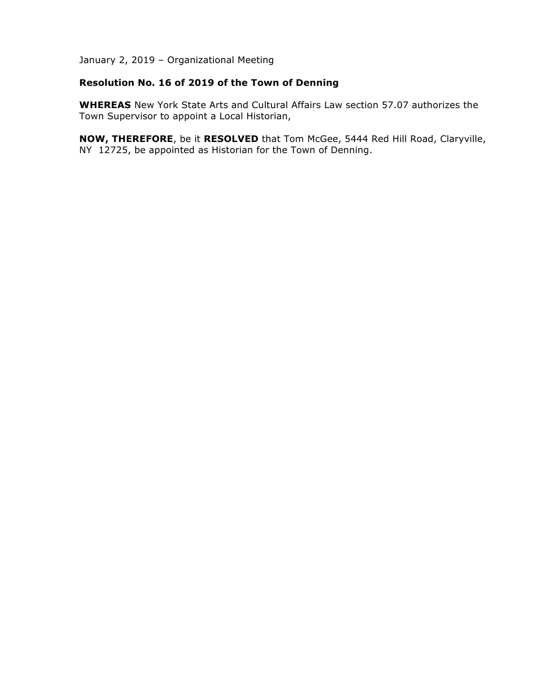# **Resolution No. 16 of 2019 of the Town of Denning**

**WHEREAS** New York State Arts and Cultural Affairs Law section 57.07 authorizes the Town Supervisor to appoint a Local Historian,

**NOW, THEREFORE**, be it **RESOLVED** that Tom McGee, 5444 Red Hill Road, Claryville, NY 12725, be appointed as Historian for the Town of Denning.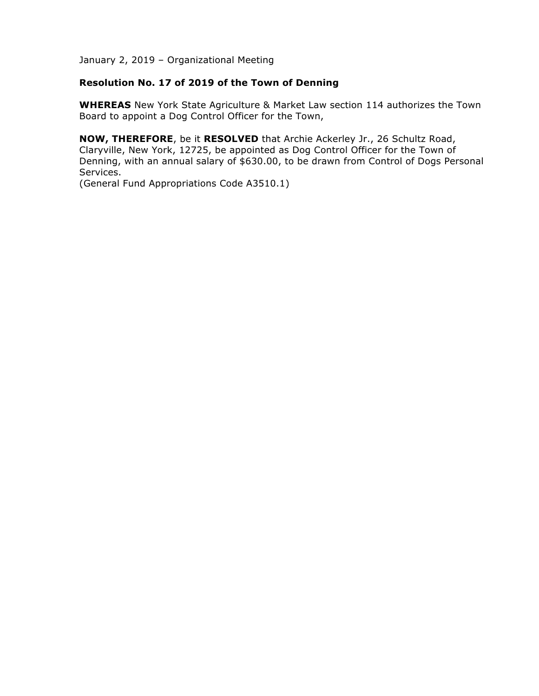# **Resolution No. 17 of 2019 of the Town of Denning**

**WHEREAS** New York State Agriculture & Market Law section 114 authorizes the Town Board to appoint a Dog Control Officer for the Town,

**NOW, THEREFORE**, be it **RESOLVED** that Archie Ackerley Jr., 26 Schultz Road, Claryville, New York, 12725, be appointed as Dog Control Officer for the Town of Denning, with an annual salary of \$630.00, to be drawn from Control of Dogs Personal Services.

(General Fund Appropriations Code A3510.1)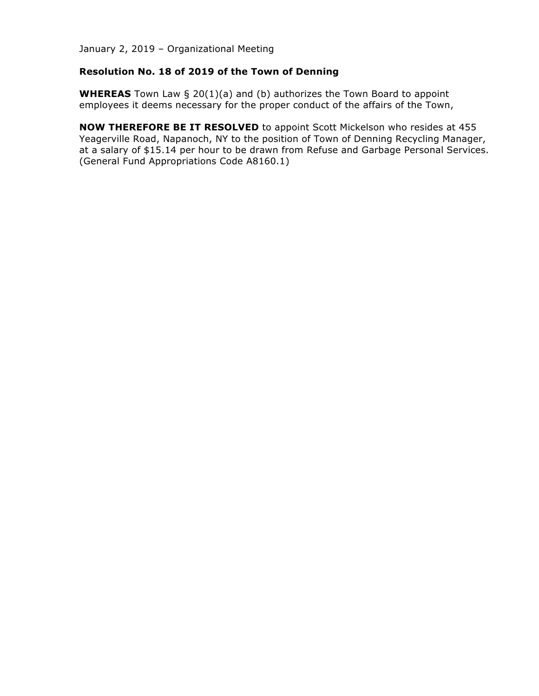# **Resolution No. 18 of 2019 of the Town of Denning**

**WHEREAS** Town Law § 20(1)(a) and (b) authorizes the Town Board to appoint employees it deems necessary for the proper conduct of the affairs of the Town,

**NOW THEREFORE BE IT RESOLVED** to appoint Scott Mickelson who resides at 455 Yeagerville Road, Napanoch, NY to the position of Town of Denning Recycling Manager, at a salary of \$15.14 per hour to be drawn from Refuse and Garbage Personal Services. (General Fund Appropriations Code A8160.1)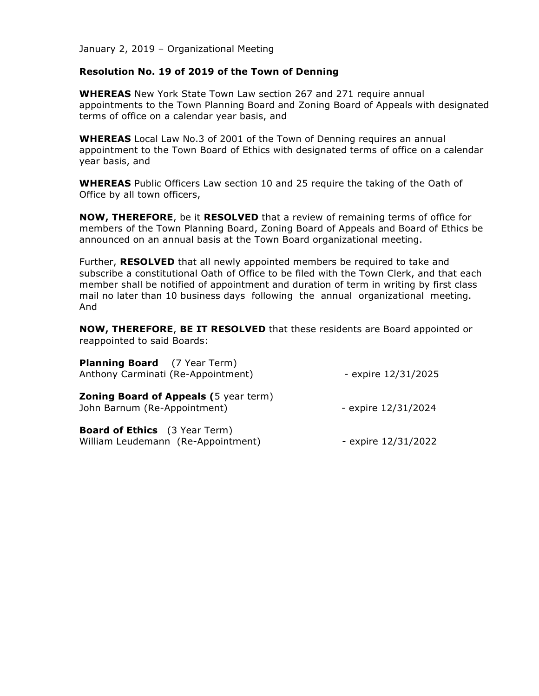#### **Resolution No. 19 of 2019 of the Town of Denning**

**WHEREAS** New York State Town Law section 267 and 271 require annual appointments to the Town Planning Board and Zoning Board of Appeals with designated terms of office on a calendar year basis, and

**WHEREAS** Local Law No.3 of 2001 of the Town of Denning requires an annual appointment to the Town Board of Ethics with designated terms of office on a calendar year basis, and

**WHEREAS** Public Officers Law section 10 and 25 require the taking of the Oath of Office by all town officers,

**NOW, THEREFORE**, be it **RESOLVED** that a review of remaining terms of office for members of the Town Planning Board, Zoning Board of Appeals and Board of Ethics be announced on an annual basis at the Town Board organizational meeting.

Further, **RESOLVED** that all newly appointed members be required to take and subscribe a constitutional Oath of Office to be filed with the Town Clerk, and that each member shall be notified of appointment and duration of term in writing by first class mail no later than 10 business days following the annual organizational meeting. And

**NOW, THEREFORE**, **BE IT RESOLVED** that these residents are Board appointed or reappointed to said Boards:

| <b>Planning Board</b> (7 Year Term)<br>Anthony Carminati (Re-Appointment)    | - expire 12/31/2025 |
|------------------------------------------------------------------------------|---------------------|
| <b>Zoning Board of Appeals (5 year term)</b><br>John Barnum (Re-Appointment) | - expire 12/31/2024 |
| <b>Board of Ethics</b> (3 Year Term)<br>William Leudemann (Re-Appointment)   | - expire 12/31/2022 |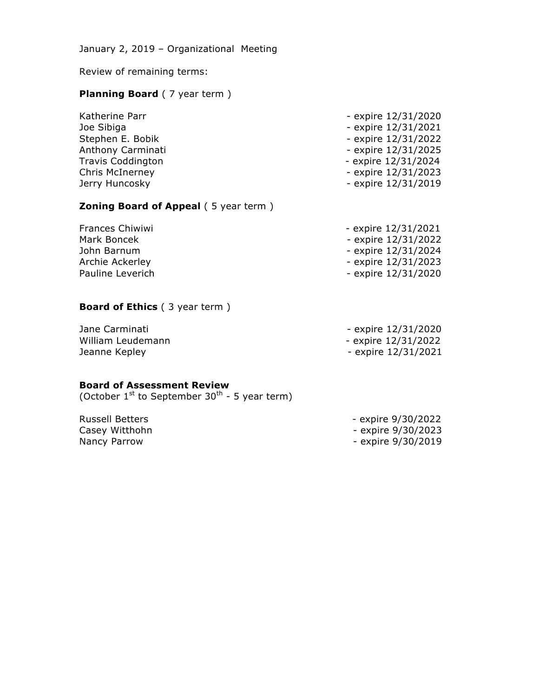Review of remaining terms:

# **Planning Board** ( 7 year term )

| Katherine Parr    | - expire 12/31/2020 |
|-------------------|---------------------|
| Joe Sibiga        | - expire 12/31/2021 |
| Stephen E. Bobik  | - expire 12/31/2022 |
| Anthony Carminati | - expire 12/31/2025 |
| Travis Coddington | - expire 12/31/2024 |
| Chris McInerney   | - expire 12/31/2023 |
| Jerry Huncosky    | - expire 12/31/2019 |
|                   |                     |

# **Zoning Board of Appeal (5 year term)**

| Frances Chiwiwi  | - expire 12/31/2021 |
|------------------|---------------------|
| Mark Boncek      | - expire 12/31/2022 |
| John Barnum      | - expire 12/31/2024 |
| Archie Ackerley  | - expire 12/31/2023 |
| Pauline Leverich | - expire 12/31/2020 |

# **Board of Ethics** ( 3 year term )

| Jane Carminati    | - expire 12/31/2020 |
|-------------------|---------------------|
| William Leudemann | - expire 12/31/2022 |
| Jeanne Kepley     | - expire 12/31/2021 |

#### **Board of Assessment Review**

(October  $1^{st}$  to September 30<sup>th</sup> - 5 year term)

Russell Betters - expire 9/30/2022 Casey Witthohn **Casey Witthohn Casey Witthohn** Nancy Parrow **Nancy Parrow** - expire 9/30/2019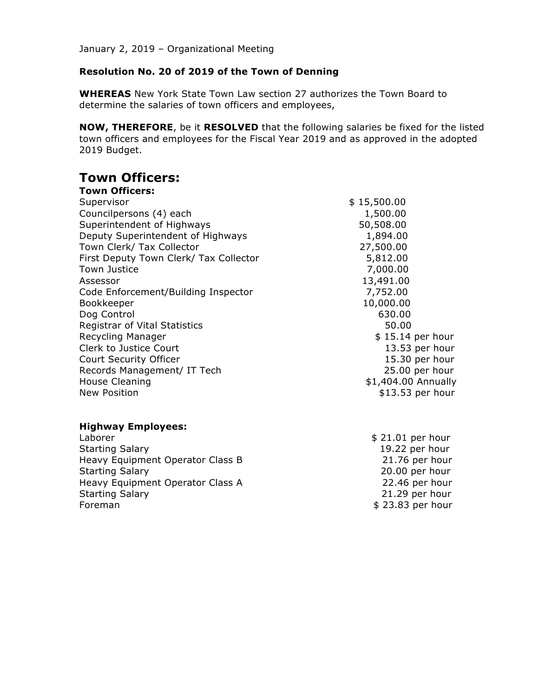# **Resolution No. 20 of 2019 of the Town of Denning**

**WHEREAS** New York State Town Law section 27 authorizes the Town Board to determine the salaries of town officers and employees,

**NOW, THEREFORE**, be it **RESOLVED** that the following salaries be fixed for the listed town officers and employees for the Fiscal Year 2019 and as approved in the adopted 2019 Budget.

# **Town Officers:**

| <b>Town Officers:</b>                  |                     |
|----------------------------------------|---------------------|
| Supervisor                             | \$15,500.00         |
| Councilpersons (4) each                | 1,500.00            |
| Superintendent of Highways             | 50,508.00           |
| Deputy Superintendent of Highways      | 1,894.00            |
| Town Clerk/ Tax Collector              | 27,500.00           |
| First Deputy Town Clerk/ Tax Collector | 5,812.00            |
| Town Justice                           | 7,000.00            |
| Assessor                               | 13,491.00           |
| Code Enforcement/Building Inspector    | 7,752.00            |
| Bookkeeper                             | 10,000.00           |
| Dog Control                            | 630.00              |
| <b>Registrar of Vital Statistics</b>   | 50.00               |
| Recycling Manager                      | $$15.14$ per hour   |
| Clerk to Justice Court                 | 13.53 per hour      |
| Court Security Officer                 | 15.30 per hour      |
| Records Management/ IT Tech            | 25.00 per hour      |
| House Cleaning                         | \$1,404.00 Annually |
| <b>New Position</b>                    | \$13.53 per hour    |
|                                        |                     |

#### **Highway Employees:**

| Laborer                          |
|----------------------------------|
| <b>Starting Salary</b>           |
| Heavy Equipment Operator Class B |
| <b>Starting Salary</b>           |
| Heavy Equipment Operator Class A |
| <b>Starting Salary</b>           |
| Foreman                          |

 $$21.01$  per hour 19.22 per hour  $21.76$  per hour  $20.00$  per hour  $22.46$  per hour  $21.29$  per hour  $$23.83$  per hour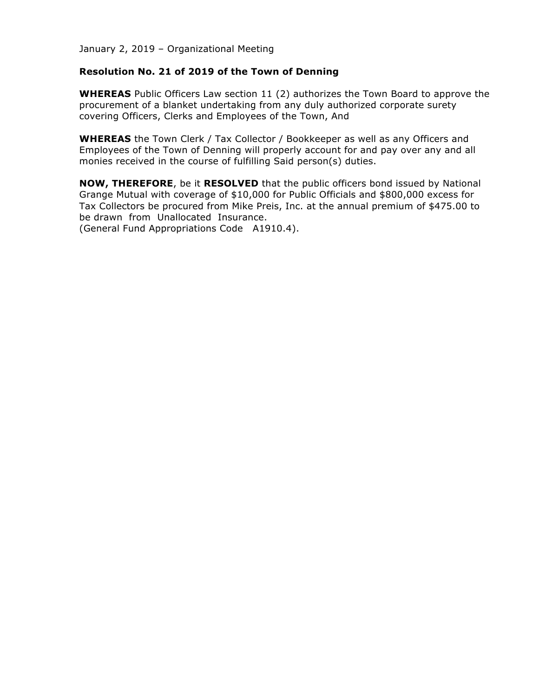# **Resolution No. 21 of 2019 of the Town of Denning**

**WHEREAS** Public Officers Law section 11 (2) authorizes the Town Board to approve the procurement of a blanket undertaking from any duly authorized corporate surety covering Officers, Clerks and Employees of the Town, And

**WHEREAS** the Town Clerk / Tax Collector / Bookkeeper as well as any Officers and Employees of the Town of Denning will properly account for and pay over any and all monies received in the course of fulfilling Said person(s) duties.

**NOW, THEREFORE**, be it **RESOLVED** that the public officers bond issued by National Grange Mutual with coverage of \$10,000 for Public Officials and \$800,000 excess for Tax Collectors be procured from Mike Preis, Inc. at the annual premium of \$475.00 to be drawn from Unallocated Insurance.

(General Fund Appropriations Code A1910.4).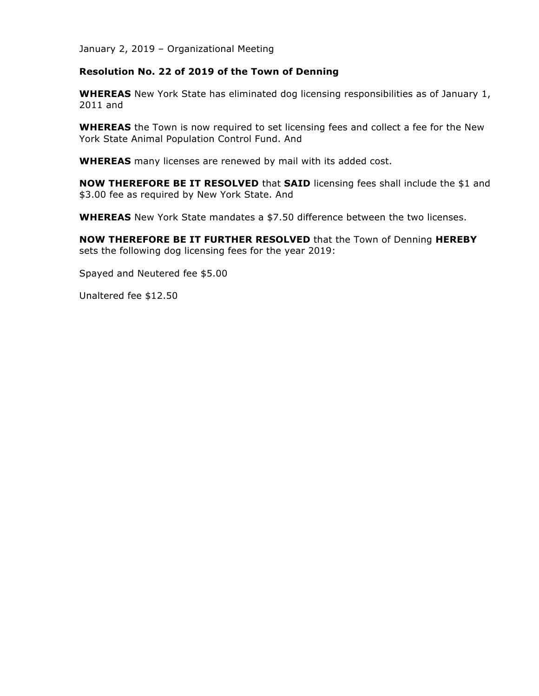#### **Resolution No. 22 of 2019 of the Town of Denning**

**WHEREAS** New York State has eliminated dog licensing responsibilities as of January 1, 2011 and

**WHEREAS** the Town is now required to set licensing fees and collect a fee for the New York State Animal Population Control Fund. And

**WHEREAS** many licenses are renewed by mail with its added cost.

**NOW THEREFORE BE IT RESOLVED** that **SAID** licensing fees shall include the \$1 and \$3.00 fee as required by New York State. And

**WHEREAS** New York State mandates a \$7.50 difference between the two licenses.

**NOW THEREFORE BE IT FURTHER RESOLVED** that the Town of Denning **HEREBY** sets the following dog licensing fees for the year 2019:

Spayed and Neutered fee \$5.00

Unaltered fee \$12.50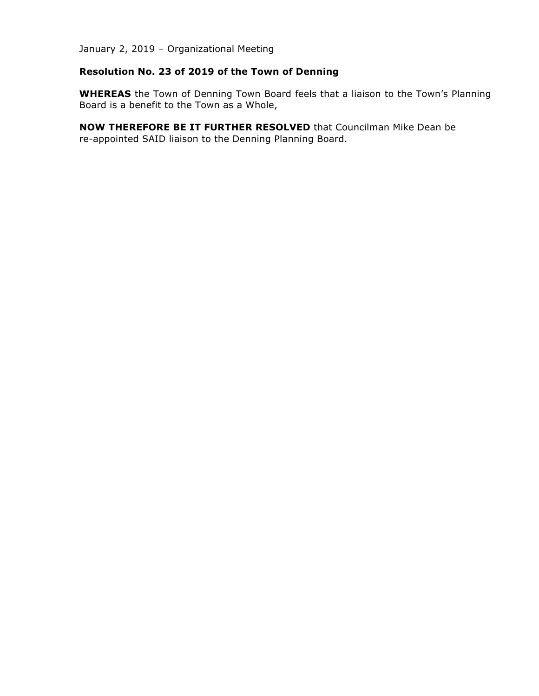# **Resolution No. 23 of 2019 of the Town of Denning**

**WHEREAS** the Town of Denning Town Board feels that a liaison to the Town's Planning Board is a benefit to the Town as a Whole,

**NOW THEREFORE BE IT FURTHER RESOLVED** that Councilman Mike Dean be re-appointed SAID liaison to the Denning Planning Board.